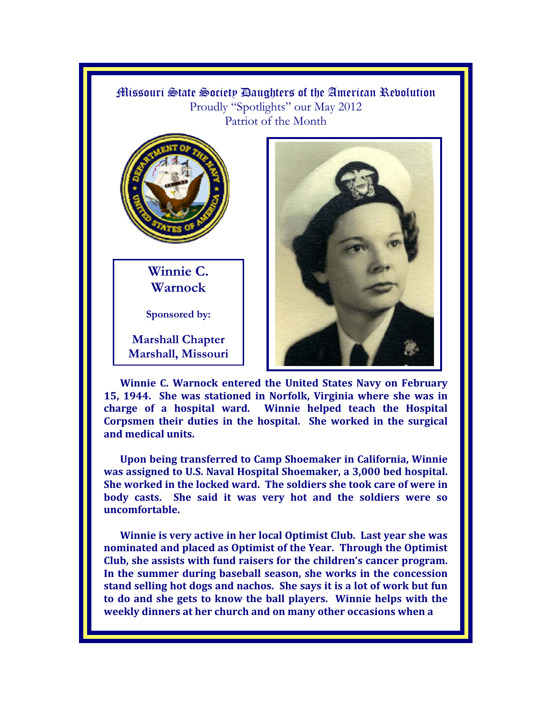



**Winnie C. Warnock** 

**Sponsored by:** 

**Marshall Chapter Marshall, Missouri** 



**Winnie C. Warnock entered the United States Navy on February 15, 1944. She was stationed in Norfolk, Virginia where she was in charge of a hospital ward. Winnie helped teach the Hospital Corpsmen their duties in the hospital. She worked in the surgical and medical units.** 

**Upon being transferred to Camp Shoemaker in California, Winnie was assigned to U.S. Naval Hospital Shoemaker, a 3,000 bed hospital. She worked in the locked ward. The soldiers she took care of were in body casts. She said it was very hot and the soldiers were so uncomfortable.** 

**Winnie is very active in her local Optimist Club. Last year she was nominated and placed as Optimist of the Year. Through the Optimist Club, she assists with fund raisers for the children's cancer program. In the summer during baseball season, she works in the concession stand selling hot dogs and nachos. She says it is a lot of work but fun to do and she gets to know the ball players. Winnie helps with the weekly dinners at her church and on many other occasions when a**